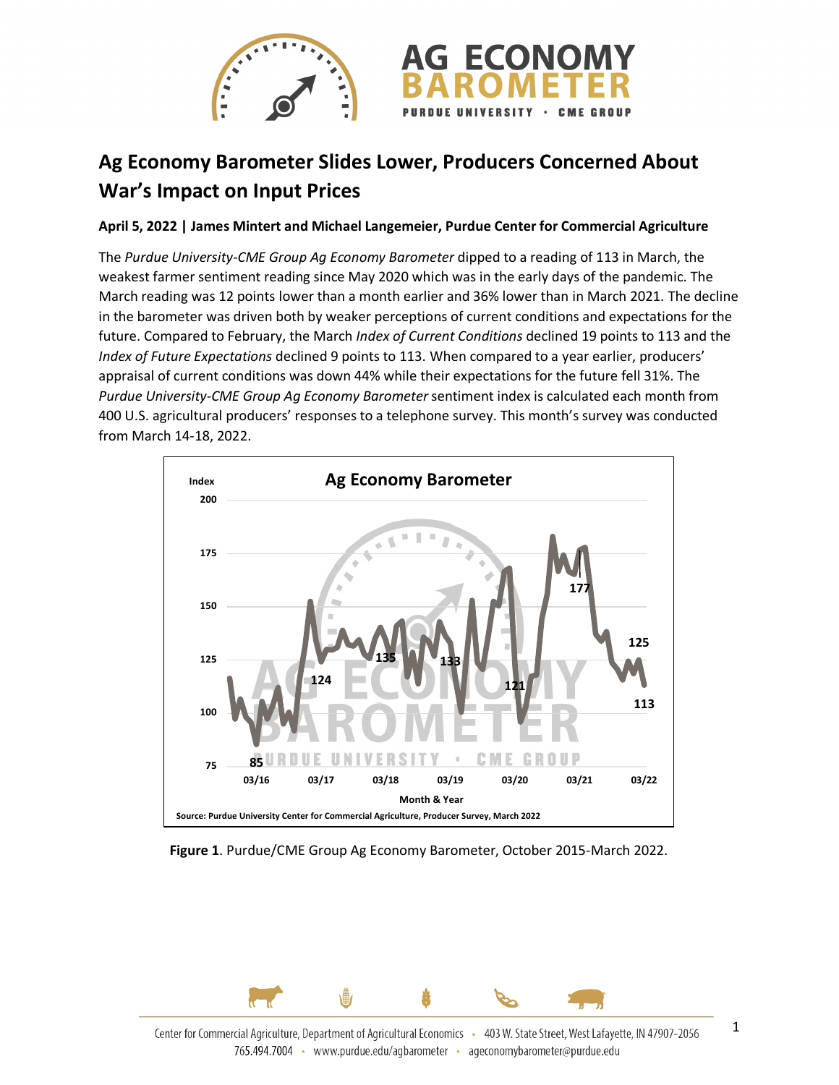

## **Ag Economy Barometer Slides Lower, Producers Concerned About War's Impact on Input Prices**

## **April 5, 2022 | James Mintert and Michael Langemeier, Purdue Center for Commercial Agriculture**

The *Purdue University-CME Group Ag Economy Barometer* dipped to a reading of 113 in March, the weakest farmer sentiment reading since May 2020 which was in the early days of the pandemic. The March reading was 12 points lower than a month earlier and 36% lower than in March 2021. The decline in the barometer was driven both by weaker perceptions of current conditions and expectations for the future. Compared to February, the March *Index of Current Conditions* declined 19 points to 113 and the *Index of Future Expectations* declined 9 points to 113. When compared to a year earlier, producers' appraisal of current conditions was down 44% while their expectations for the future fell 31%. The *Purdue University-CME Group Ag Economy Barometer* sentiment index is calculated each month from 400 U.S. agricultural producers' responses to a telephone survey. This month's survey was conducted from March 14-18, 2022.



**Figure 1**. Purdue/CME Group Ag Economy Barometer, October 2015-March 2022.

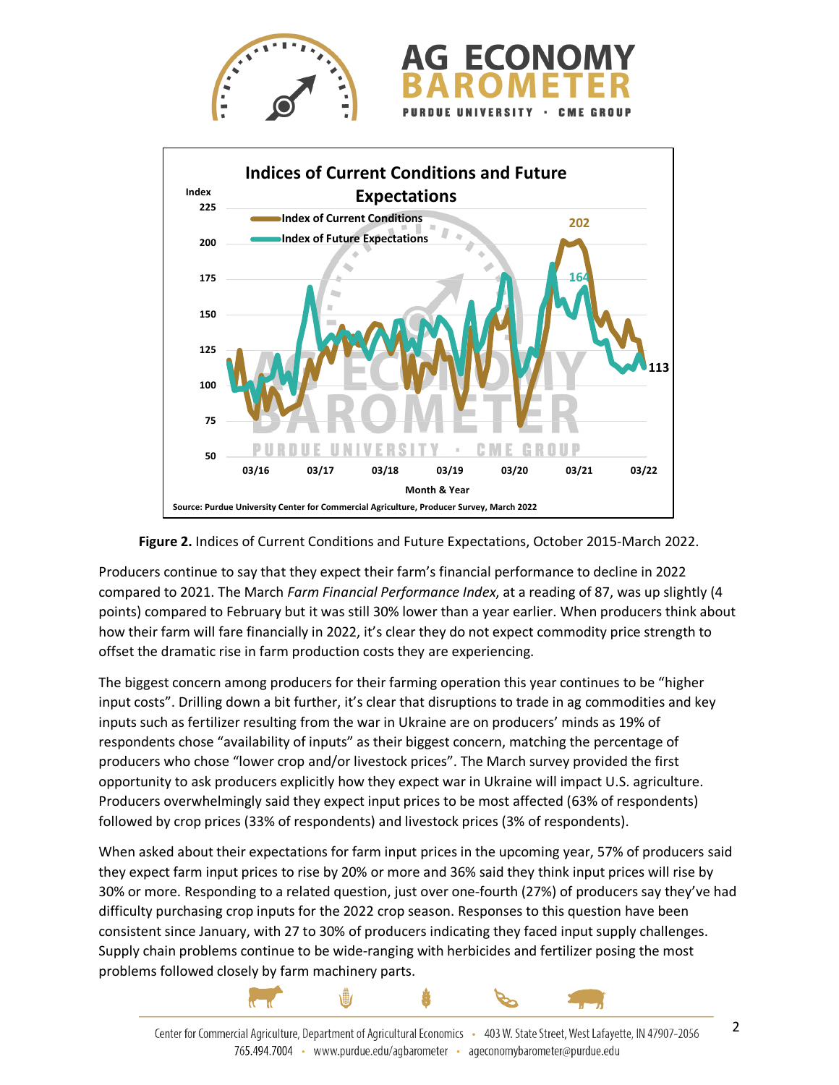



**Figure 2.** Indices of Current Conditions and Future Expectations, October 2015-March 2022.

Producers continue to say that they expect their farm's financial performance to decline in 2022 compared to 2021. The March *Farm Financial Performance Index*, at a reading of 87, was up slightly (4 points) compared to February but it was still 30% lower than a year earlier. When producers think about how their farm will fare financially in 2022, it's clear they do not expect commodity price strength to offset the dramatic rise in farm production costs they are experiencing.

The biggest concern among producers for their farming operation this year continues to be "higher input costs". Drilling down a bit further, it's clear that disruptions to trade in ag commodities and key inputs such as fertilizer resulting from the war in Ukraine are on producers' minds as 19% of respondents chose "availability of inputs" as their biggest concern, matching the percentage of producers who chose "lower crop and/or livestock prices". The March survey provided the first opportunity to ask producers explicitly how they expect war in Ukraine will impact U.S. agriculture. Producers overwhelmingly said they expect input prices to be most affected (63% of respondents) followed by crop prices (33% of respondents) and livestock prices (3% of respondents).

When asked about their expectations for farm input prices in the upcoming year, 57% of producers said they expect farm input prices to rise by 20% or more and 36% said they think input prices will rise by 30% or more. Responding to a related question, just over one-fourth (27%) of producers say they've had difficulty purchasing crop inputs for the 2022 crop season. Responses to this question have been consistent since January, with 27 to 30% of producers indicating they faced input supply challenges. Supply chain problems continue to be wide-ranging with herbicides and fertilizer posing the most problems followed closely by farm machinery parts.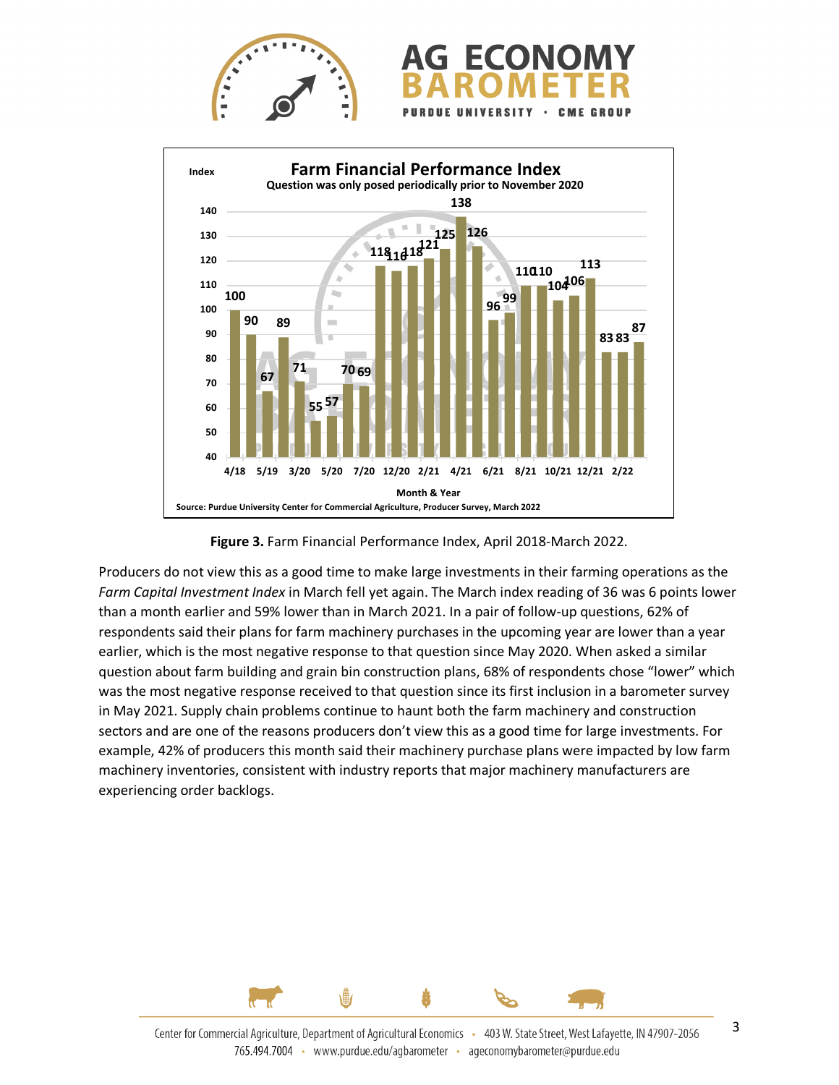



**Figure 3.** Farm Financial Performance Index, April 2018-March 2022.

Producers do not view this as a good time to make large investments in their farming operations as the *Farm Capital Investment Index* in March fell yet again. The March index reading of 36 was 6 points lower than a month earlier and 59% lower than in March 2021. In a pair of follow-up questions, 62% of respondents said their plans for farm machinery purchases in the upcoming year are lower than a year earlier, which is the most negative response to that question since May 2020. When asked a similar question about farm building and grain bin construction plans, 68% of respondents chose "lower" which was the most negative response received to that question since its first inclusion in a barometer survey in May 2021. Supply chain problems continue to haunt both the farm machinery and construction sectors and are one of the reasons producers don't view this as a good time for large investments. For example, 42% of producers this month said their machinery purchase plans were impacted by low farm machinery inventories, consistent with industry reports that major machinery manufacturers are experiencing order backlogs.

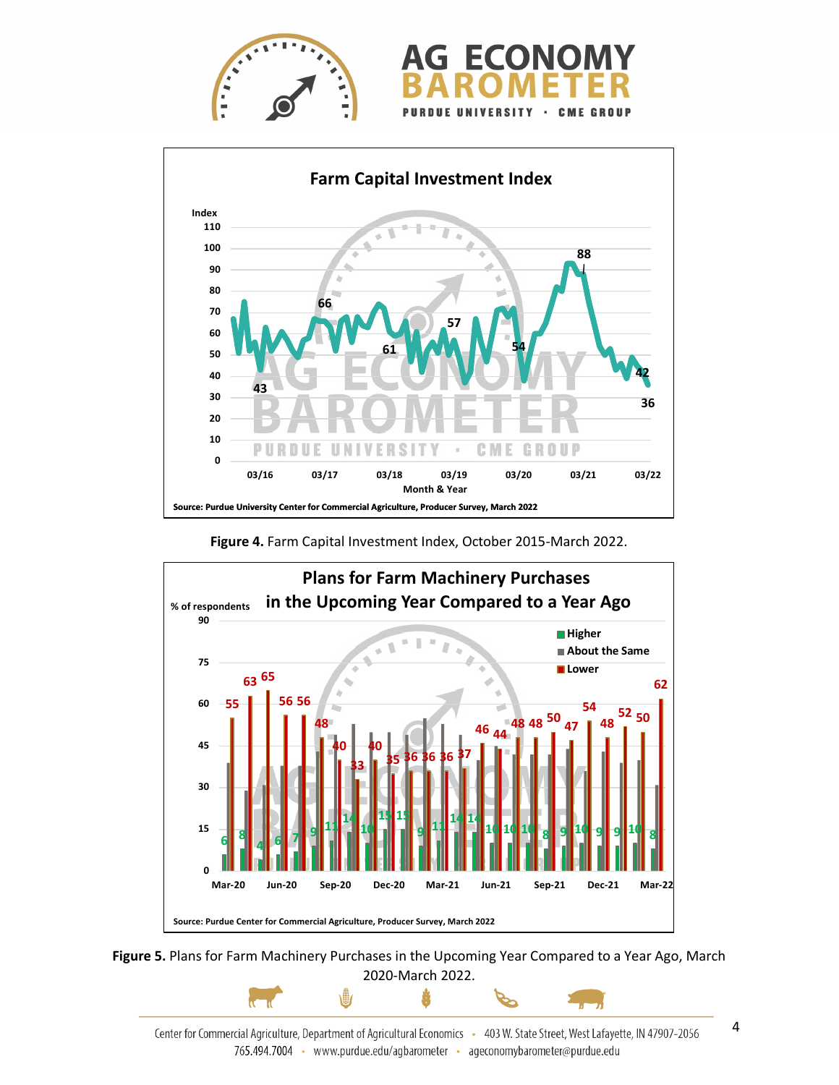





**Figure 4.** Farm Capital Investment Index, October 2015-March 2022.



**Figure 5.** Plans for Farm Machinery Purchases in the Upcoming Year Compared to a Year Ago, March 2020-March 2022.

\∰

ů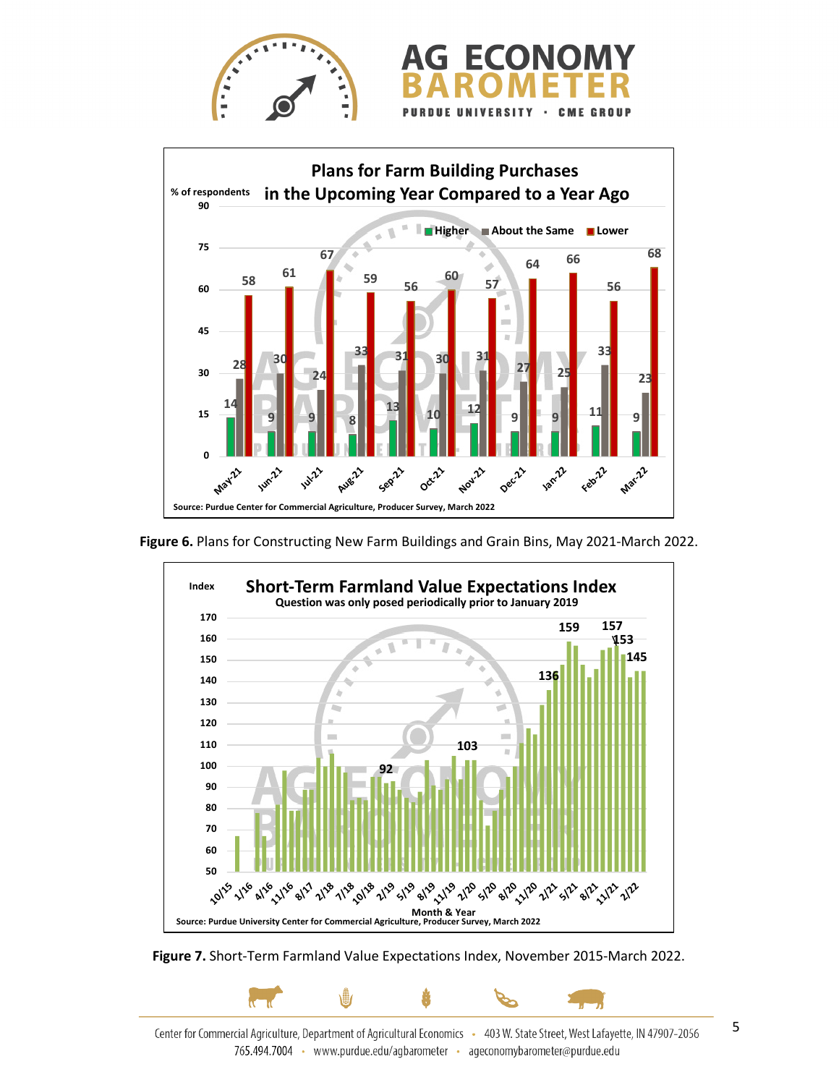



**Figure 6.** Plans for Constructing New Farm Buildings and Grain Bins, May 2021-March 2022.





Center for Commercial Agriculture, Department of Agricultural Economics - 403 W. State Street, West Lafayette, IN 47907-2056 765.494.7004 · www.purdue.edu/agbarometer · ageconomybarometer@purdue.edu

5